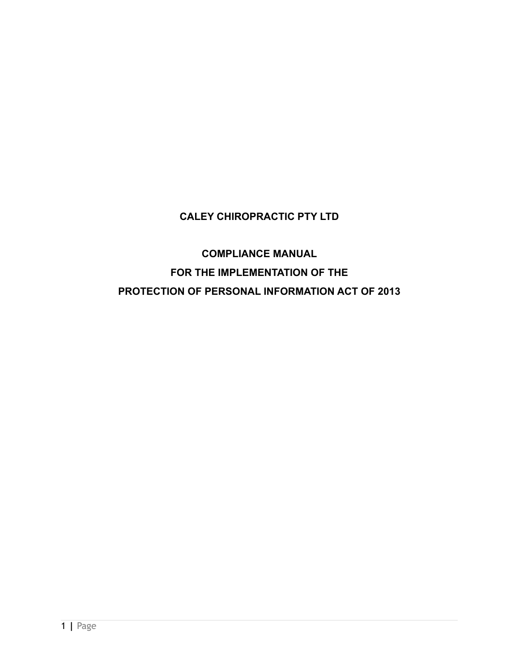# **CALEY CHIROPRACTIC PTY LTD**

**COMPLIANCE MANUAL FOR THE IMPLEMENTATION OF THE PROTECTION OF PERSONAL INFORMATION ACT OF 2013**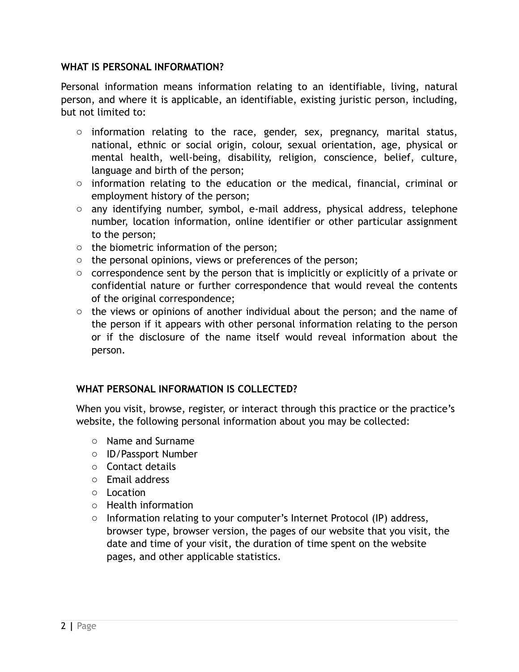### **WHAT IS PERSONAL INFORMATION?**

Personal information means information relating to an identifiable, living, natural person, and where it is applicable, an identifiable, existing juristic person, including, but not limited to:

- $\circ$  information relating to the race, gender, sex, pregnancy, marital status, national, ethnic or social origin, colour, sexual orientation, age, physical or mental health, well-being, disability, religion, conscience, belief, culture, language and birth of the person;
- o information relating to the education or the medical, financial, criminal or employment history of the person;
- o any identifying number, symbol, e-mail address, physical address, telephone number, location information, online identifier or other particular assignment to the person;
- o the biometric information of the person;
- $\circ$  the personal opinions, views or preferences of the person;
- o correspondence sent by the person that is implicitly or explicitly of a private or confidential nature or further correspondence that would reveal the contents of the original correspondence;
- $\circ$  the views or opinions of another individual about the person; and the name of the person if it appears with other personal information relating to the person or if the disclosure of the name itself would reveal information about the person.

## **WHAT PERSONAL INFORMATION IS COLLECTED?**

When you visit, browse, register, or interact through this practice or the practice's website, the following personal information about you may be collected:

- o Name and Surname
- o ID/Passport Number
- o Contact details
- o Email address
- o Location
- o Health information
- o Information relating to your computer's Internet Protocol (IP) address, browser type, browser version, the pages of our website that you visit, the date and time of your visit, the duration of time spent on the website pages, and other applicable statistics.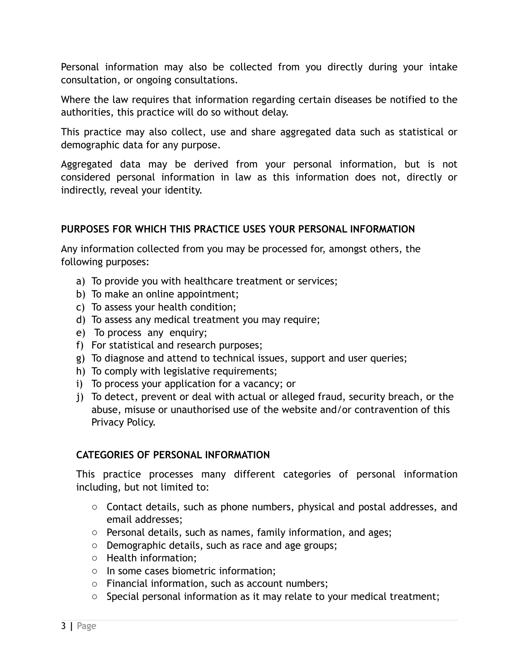Personal information may also be collected from you directly during your intake consultation, or ongoing consultations.

Where the law requires that information regarding certain diseases be notified to the authorities, this practice will do so without delay.

This practice may also collect, use and share aggregated data such as statistical or demographic data for any purpose.

Aggregated data may be derived from your personal information, but is not considered personal information in law as this information does not, directly or indirectly, reveal your identity.

## **PURPOSES FOR WHICH THIS PRACTICE USES YOUR PERSONAL INFORMATION**

Any information collected from you may be processed for, amongst others, the following purposes:

- a) To provide you with healthcare treatment or services;
- b) To make an online appointment;
- c) To assess your health condition;
- d) To assess any medical treatment you may require;
- e) To process any enquiry;
- f) For statistical and research purposes;
- g) To diagnose and attend to technical issues, support and user queries;
- h) To comply with legislative requirements;
- i) To process your application for a vacancy; or
- j) To detect, prevent or deal with actual or alleged fraud, security breach, or the abuse, misuse or unauthorised use of the website and/or contravention of this Privacy Policy.

## **CATEGORIES OF PERSONAL INFORMATION**

This practice processes many different categories of personal information including, but not limited to:

- o Contact details, such as phone numbers, physical and postal addresses, and email addresses;
- o Personal details, such as names, family information, and ages;
- o Demographic details, such as race and age groups;
- o Health information;
- o In some cases biometric information;
- o Financial information, such as account numbers;
- o Special personal information as it may relate to your medical treatment;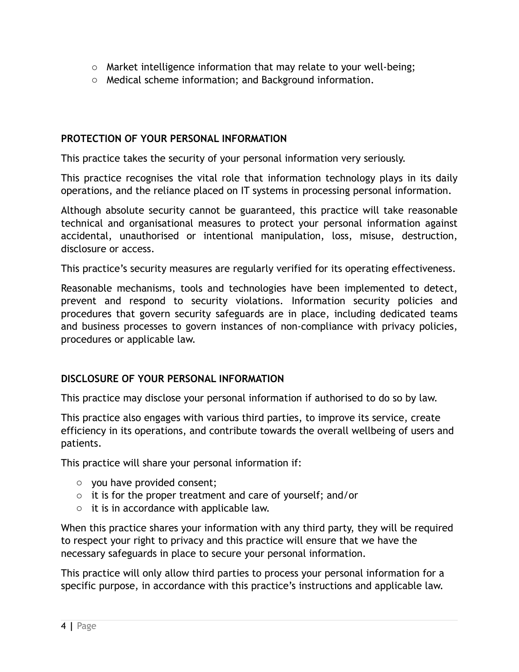- $\circ$  Market intelligence information that may relate to your well-being;
- o Medical scheme information; and Background information.

#### **PROTECTION OF YOUR PERSONAL INFORMATION**

This practice takes the security of your personal information very seriously.

This practice recognises the vital role that information technology plays in its daily operations, and the reliance placed on IT systems in processing personal information.

Although absolute security cannot be guaranteed, this practice will take reasonable technical and organisational measures to protect your personal information against accidental, unauthorised or intentional manipulation, loss, misuse, destruction, disclosure or access.

This practice's security measures are regularly verified for its operating effectiveness.

Reasonable mechanisms, tools and technologies have been implemented to detect, prevent and respond to security violations. Information security policies and procedures that govern security safeguards are in place, including dedicated teams and business processes to govern instances of non-compliance with privacy policies, procedures or applicable law.

#### **DISCLOSURE OF YOUR PERSONAL INFORMATION**

This practice may disclose your personal information if authorised to do so by law.

This practice also engages with various third parties, to improve its service, create efficiency in its operations, and contribute towards the overall wellbeing of users and patients.

This practice will share your personal information if:

- o you have provided consent;
- o it is for the proper treatment and care of yourself; and/or
- o it is in accordance with applicable law.

When this practice shares your information with any third party, they will be required to respect your right to privacy and this practice will ensure that we have the necessary safeguards in place to secure your personal information.

This practice will only allow third parties to process your personal information for a specific purpose, in accordance with this practice's instructions and applicable law.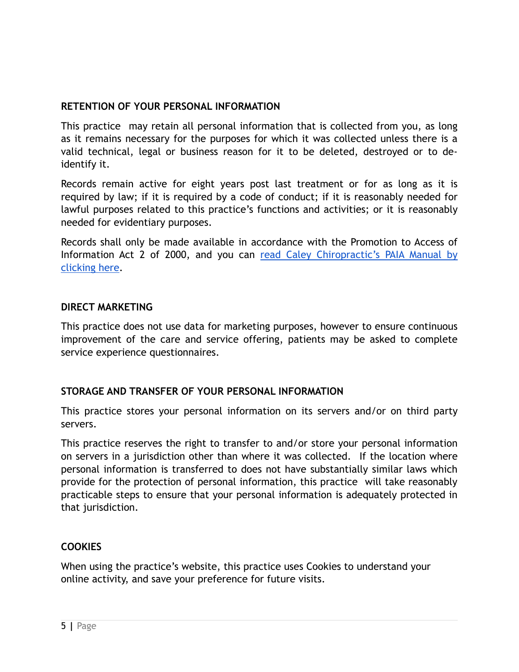### **RETENTION OF YOUR PERSONAL INFORMATION**

This practice may retain all personal information that is collected from you, as long as it remains necessary for the purposes for which it was collected unless there is a valid technical, legal or business reason for it to be deleted, destroyed or to deidentify it.

Records remain active for eight years post last treatment or for as long as it is required by law; if it is required by a code of conduct; if it is reasonably needed for lawful purposes related to this practice's functions and activities; or it is reasonably needed for evidentiary purposes.

Records shall only be made available in accordance with the Promotion to Access of Information Act 2 of 2000, and you can [read Caley Chiropractic's PAIA Manual by](https://0004c21d-c334-48d2-b952-2f4a33a81eb0.filesusr.com/ugd/8ecbeb_8d27bfdfd4a94b689bb0911b69d36af2.pdf) [clicking here.](https://0004c21d-c334-48d2-b952-2f4a33a81eb0.filesusr.com/ugd/8ecbeb_8d27bfdfd4a94b689bb0911b69d36af2.pdf)

#### **DIRECT MARKETING**

This practice does not use data for marketing purposes, however to ensure continuous improvement of the care and service offering, patients may be asked to complete service experience questionnaires.

## **STORAGE AND TRANSFER OF YOUR PERSONAL INFORMATION**

This practice stores your personal information on its servers and/or on third party servers.

This practice reserves the right to transfer to and/or store your personal information on servers in a jurisdiction other than where it was collected. If the location where personal information is transferred to does not have substantially similar laws which provide for the protection of personal information, this practice will take reasonably practicable steps to ensure that your personal information is adequately protected in that jurisdiction.

#### **COOKIES**

When using the practice's website, this practice uses Cookies to understand your online activity, and save your preference for future visits.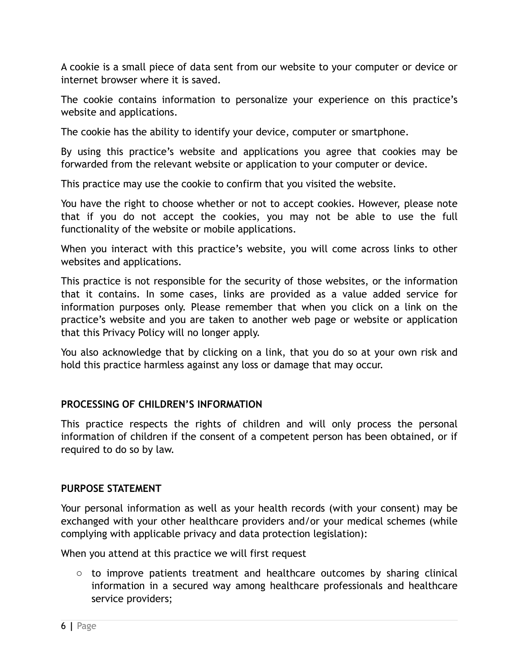A cookie is a small piece of data sent from our website to your computer or device or internet browser where it is saved.

The cookie contains information to personalize your experience on this practice's website and applications.

The cookie has the ability to identify your device, computer or smartphone.

By using this practice's website and applications you agree that cookies may be forwarded from the relevant website or application to your computer or device.

This practice may use the cookie to confirm that you visited the website.

You have the right to choose whether or not to accept cookies. However, please note that if you do not accept the cookies, you may not be able to use the full functionality of the website or mobile applications.

When you interact with this practice's website, you will come across links to other websites and applications.

This practice is not responsible for the security of those websites, or the information that it contains. In some cases, links are provided as a value added service for information purposes only. Please remember that when you click on a link on the practice's website and you are taken to another web page or website or application that this Privacy Policy will no longer apply.

You also acknowledge that by clicking on a link, that you do so at your own risk and hold this practice harmless against any loss or damage that may occur.

## **PROCESSING OF CHILDREN'S INFORMATION**

This practice respects the rights of children and will only process the personal information of children if the consent of a competent person has been obtained, or if required to do so by law.

## **PURPOSE STATEMENT**

Your personal information as well as your health records (with your consent) may be exchanged with your other healthcare providers and/or your medical schemes (while complying with applicable privacy and data protection legislation):

When you attend at this practice we will first request

 $\circ$  to improve patients treatment and healthcare outcomes by sharing clinical information in a secured way among healthcare professionals and healthcare service providers;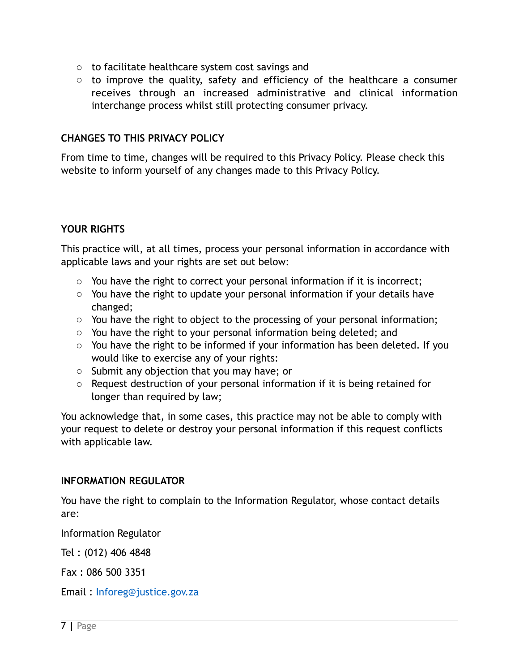- o to facilitate healthcare system cost savings and
- o to improve the quality, safety and efficiency of the healthcare a consumer receives through an increased administrative and clinical information interchange process whilst still protecting consumer privacy.

### **CHANGES TO THIS PRIVACY POLICY**

From time to time, changes will be required to this Privacy Policy. Please check this website to inform yourself of any changes made to this Privacy Policy.

## **YOUR RIGHTS**

This practice will, at all times, process your personal information in accordance with applicable laws and your rights are set out below:

- $\circ$  You have the right to correct your personal information if it is incorrect;
- o You have the right to update your personal information if your details have changed;
- o You have the right to object to the processing of your personal information;
- o You have the right to your personal information being deleted; and
- o You have the right to be informed if your information has been deleted. If you would like to exercise any of your rights:
- o Submit any objection that you may have; or
- o Request destruction of your personal information if it is being retained for longer than required by law;

You acknowledge that, in some cases, this practice may not be able to comply with your request to delete or destroy your personal information if this request conflicts with applicable law.

#### **INFORMATION REGULATOR**

You have the right to complain to the Information Regulator, whose contact details are:

Information Regulator

Tel : (012) 406 4848

Fax : 086 500 3351

Email : [Inforeg@justice.gov.za](mailto:Inforeg@justice.gov.za)